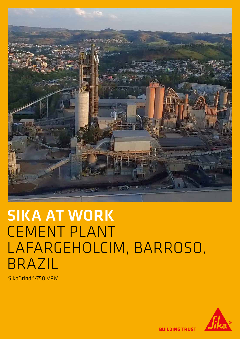

# SIKA AT WORK CEMENT PLANT LAFARGEHOLCIM, BARROSO, BRAZIL

SikaGrind®-750 VRM



**BUILDING TRUST**